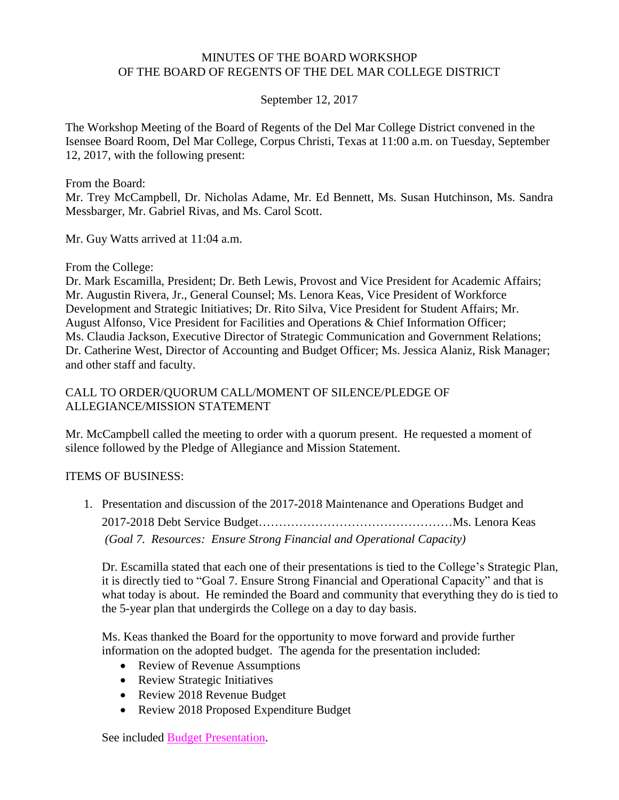#### MINUTES OF THE BOARD WORKSHOP OF THE BOARD OF REGENTS OF THE DEL MAR COLLEGE DISTRICT

## September 12, 2017

The Workshop Meeting of the Board of Regents of the Del Mar College District convened in the Isensee Board Room, Del Mar College, Corpus Christi, Texas at 11:00 a.m. on Tuesday, September 12, 2017, with the following present:

From the Board:

Mr. Trey McCampbell, Dr. Nicholas Adame, Mr. Ed Bennett, Ms. Susan Hutchinson, Ms. Sandra Messbarger, Mr. Gabriel Rivas, and Ms. Carol Scott.

Mr. Guy Watts arrived at 11:04 a.m.

From the College:

Dr. Mark Escamilla, President; Dr. Beth Lewis, Provost and Vice President for Academic Affairs; Mr. Augustin Rivera, Jr., General Counsel; Ms. Lenora Keas, Vice President of Workforce Development and Strategic Initiatives; Dr. Rito Silva, Vice President for Student Affairs; Mr. August Alfonso, Vice President for Facilities and Operations & Chief Information Officer; Ms. Claudia Jackson, Executive Director of Strategic Communication and Government Relations; Dr. Catherine West, Director of Accounting and Budget Officer; Ms. Jessica Alaniz, Risk Manager; and other staff and faculty.

# CALL TO ORDER/QUORUM CALL/MOMENT OF SILENCE/PLEDGE OF ALLEGIANCE/MISSION STATEMENT

Mr. McCampbell called the meeting to order with a quorum present. He requested a moment of silence followed by the Pledge of Allegiance and Mission Statement.

## ITEMS OF BUSINESS:

1. Presentation and discussion of the 2017-2018 Maintenance and Operations Budget and 2017-2018 Debt Service Budget…………………………………………Ms. Lenora Keas *(Goal 7. Resources: Ensure Strong Financial and Operational Capacity)*

Dr. Escamilla stated that each one of their presentations is tied to the College's Strategic Plan, it is directly tied to "Goal 7. Ensure Strong Financial and Operational Capacity" and that is what today is about. He reminded the Board and community that everything they do is tied to the 5-year plan that undergirds the College on a day to day basis.

Ms. Keas thanked the Board for the opportunity to move forward and provide further information on the adopted budget. The agenda for the presentation included:

- Review of Revenue Assumptions
- Review Strategic Initiatives
- Review 2018 Revenue Budget
- Review 2018 Proposed Expenditure Budget

See included Budget [Presentation.](http://www.delmar.edu/WorkArea/DownloadAsset.aspx?id=2147486056)